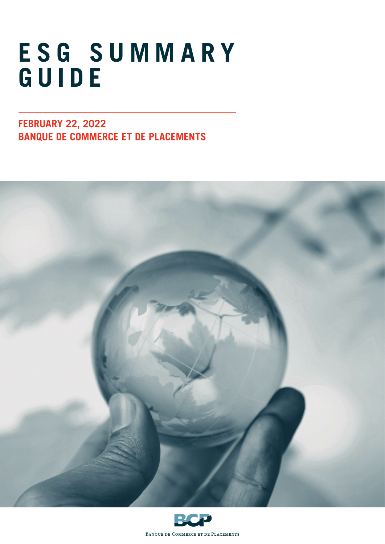# **E S G S U M M A R Y GUIDE**

**FEBRUARY 22, 2022 BANQUE DE COMMERCE ET DE PLACEMENTS**





BANQUE DE COMMERCE ET DE PLACEMENTS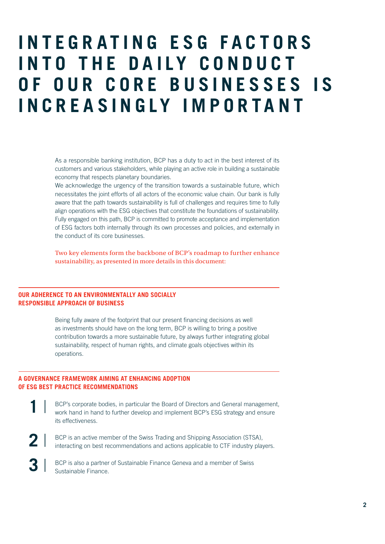# **I N T E G R A T I N G E S G F A C T O R S INTO THE DAILY CONDUCT OF OUR CORE BUSINESSES IS INCREASINGLY IMPORTANT**

As a responsible banking institution, BCP has a duty to act in the best interest of its customers and various stakeholders, while playing an active role in building a sustainable economy that respects planetary boundaries.

We acknowledge the urgency of the transition towards a sustainable future, which necessitates the joint efforts of all actors of the economic value chain. Our bank is fully aware that the path towards sustainability is full of challenges and requires time to fully align operations with the ESG objectives that constitute the foundations of sustainability. Fully engaged on this path, BCP is committed to promote acceptance and implementation of ESG factors both internally through its own processes and policies, and externally in the conduct of its core businesses.

Two key elements form the backbone of BCP's roadmap to further enhance sustainability, as presented in more details in this document:

#### **OUR ADHERENCE TO AN ENVIRONMENTALLY AND SOCIALLY RESPONSIBLE APPROACH OF BUSINESS**

Being fully aware of the footprint that our present financing decisions as well as investments should have on the long term, BCP is willing to bring a positive contribution towards a more sustainable future, by always further integrating global sustainability, respect of human rights, and climate goals objectives within its operations.

#### **A GOVERNANCE FRAMEWORK AIMING AT ENHANCING ADOPTION OF ESG BEST PRACTICE RECOMMENDATIONS**

- BCP's corporate bodies, in particular the Board of Directors and General management, work hand in hand to further develop and implement BCP's ESG strategy and ensure its effectiveness. **1**
- BCP is an active member of the Swiss Trading and Shipping Association (STSA), interacting on best recommendations and actions applicable to CTF industry players. **2**
- BCP is also a partner of Sustainable Finance Geneva and a member of Swiss Sustainable Finance. **3**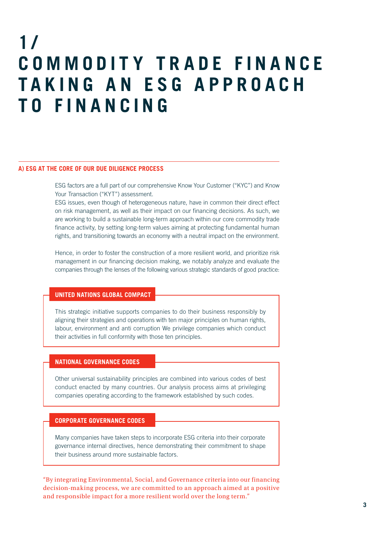# **1 / COMMODITY TRADE FINANCE T A K I N G A N E S G A P P R O A C H TO FINANCING**

#### **A) ESG AT THE CORE OF OUR DUE DILIGENCE PROCESS**

ESG factors are a full part of our comprehensive Know Your Customer ("KYC") and Know Your Transaction ("KYT") assessment.

ESG issues, even though of heterogeneous nature, have in common their direct effect on risk management, as well as their impact on our financing decisions. As such, we are working to build a sustainable long-term approach within our core commodity trade finance activity, by setting long-term values aiming at protecting fundamental human rights, and transitioning towards an economy with a neutral impact on the environment.

Hence, in order to foster the construction of a more resilient world, and prioritize risk management in our financing decision making, we notably analyze and evaluate the companies through the lenses of the following various strategic standards of good practice:

#### **UNITED NATIONS GLOBAL COMPACT**

This strategic initiative supports companies to do their business responsibly by aligning their strategies and operations with ten major principles on human rights, labour, environment and anti corruption We privilege companies which conduct their activities in full conformity with those ten principles.

#### **NATIONAL GOVERNANCE CODES**

Other universal sustainability principles are combined into various codes of best conduct enacted by many countries. Our analysis process aims at privileging companies operating according to the framework established by such codes.

#### **CORPORATE GOVERNANCE CODES**

Many companies have taken steps to incorporate ESG criteria into their corporate governance internal directives, hence demonstrating their commitment to shape their business around more sustainable factors.

"By integrating Environmental, Social, and Governance criteria into our financing decision-making process, we are committed to an approach aimed at a positive and responsible impact for a more resilient world over the long term."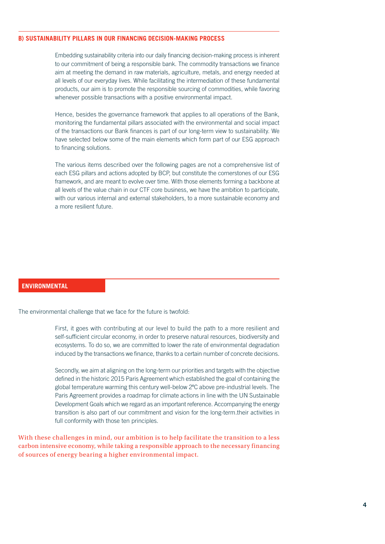#### **B) SUSTAINABILITY PILLARS IN OUR FINANCING DECISION-MAKING PROCESS**

Embedding sustainability criteria into our daily financing decision-making process is inherent to our commitment of being a responsible bank. The commodity transactions we finance aim at meeting the demand in raw materials, agriculture, metals, and energy needed at all levels of our everyday lives. While facilitating the intermediation of these fundamental products, our aim is to promote the responsible sourcing of commodities, while favoring whenever possible transactions with a positive environmental impact.

Hence, besides the governance framework that applies to all operations of the Bank, monitoring the fundamental pillars associated with the environmental and social impact of the transactions our Bank finances is part of our long-term view to sustainability. We have selected below some of the main elements which form part of our ESG approach to financing solutions.

The various items described over the following pages are not a comprehensive list of each ESG pillars and actions adopted by BCP, but constitute the cornerstones of our ESG framework, and are meant to evolve over time. With those elements forming a backbone at all levels of the value chain in our CTF core business, we have the ambition to participate, with our various internal and external stakeholders, to a more sustainable economy and a more resilient future.

#### **ENVIRONMENTAL**

The environmental challenge that we face for the future is twofold:

First, it goes with contributing at our level to build the path to a more resilient and self-sufficient circular economy, in order to preserve natural resources, biodiversity and ecosystems. To do so, we are committed to lower the rate of environmental degradation induced by the transactions we finance, thanks to a certain number of concrete decisions.

Secondly, we aim at aligning on the long-term our priorities and targets with the objective defined in the historic 2015 Paris Agreement which established the goal of containing the global temperature warming this century well-below 2ºC above pre-industrial levels. The Paris Agreement provides a roadmap for climate actions in line with the UN Sustainable Development Goals which we regard as an important reference. Accompanying the energy transition is also part of our commitment and vision for the long-term.their activities in full conformity with those ten principles.

With these challenges in mind, our ambition is to help facilitate the transition to a less carbon intensive economy, while taking a responsible approach to the necessary financing of sources of energy bearing a higher environmental impact.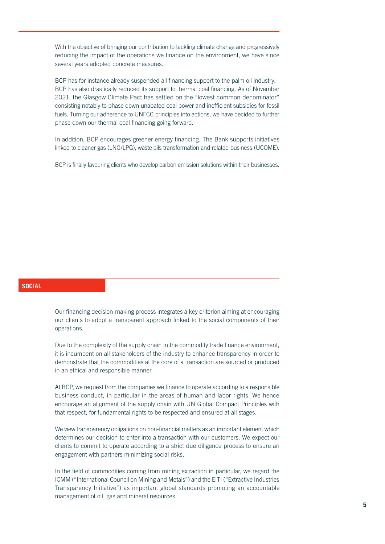With the objective of bringing our contribution to tackling climate change and progressively reducing the impact of the operations we finance on the environment, we have since several years adopted concrete measures.

BCP has for instance already suspended all financing support to the palm oil industry. BCP has also drastically reduced its support to thermal coal financing. As of November 2021, the Glasgow Climate Pact has settled on the "lowest common denominator" consisting notably to phase down unabated coal power and inefficient subsidies for fossil fuels. Turning our adherence to UNFCC principles into actions, we have decided to further phase down our thermal coal financing going forward.

In addition, BCP encourages greener energy financing. The Bank supports initiatives linked to cleaner gas (LNG/LPG), waste oils transformation and related business (UCOME).

BCP is finally favouring clients who develop carbon emission solutions within their businesses.

#### **SOCIAL**

Our financing decision-making process integrates a key criterion aiming at encouraging our clients to adopt a transparent approach linked to the social components of their operations.

Due to the complexity of the supply chain in the commodity trade finance environment, it is incumbent on all stakeholders of the industry to enhance transparency in order to demonstrate that the commodities at the core of a transaction are sourced or produced in an ethical and responsible manner.

At BCP, we request from the companies we finance to operate according to a responsible business conduct, in particular in the areas of human and labor rights. We hence encourage an alignment of the supply chain with UN Global Compact Principles with that respect, for fundamental rights to be respected and ensured at all stages.

We view transparency obligations on non-financial matters as an important element which determines our decision to enter into a transaction with our customers. We expect our clients to commit to operate according to a strict due diligence process to ensure an engagement with partners minimizing social risks.

In the field of commodities coming from mining extraction in particular, we regard the ICMM ("International Council on Mining and Metals") and the EITI ("Extractive Industries Transparency Initiative") as important global standards promoting an accountable management of oil, gas and mineral resources.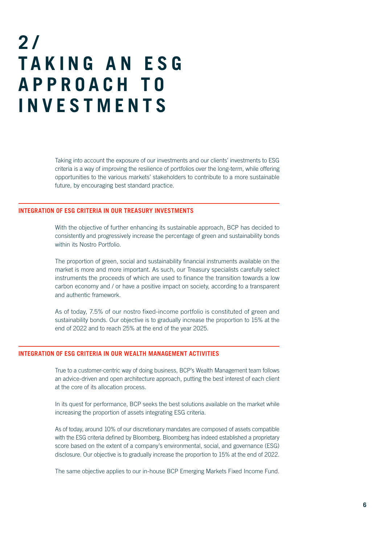### **2 / T A K I N G A N E S G A P P R O A C H T O INVESTMENTS**

Taking into account the exposure of our investments and our clients' investments to ESG criteria is a way of improving the resilience of portfolios over the long-term, while offering opportunities to the various markets' stakeholders to contribute to a more sustainable future, by encouraging best standard practice.

#### **INTEGRATION OF ESG CRITERIA IN OUR TREASURY INVESTMENTS**

With the objective of further enhancing its sustainable approach, BCP has decided to consistently and progressively increase the percentage of green and sustainability bonds within its Nostro Portfolio.

The proportion of green, social and sustainability financial instruments available on the market is more and more important. As such, our Treasury specialists carefully select instruments the proceeds of which are used to finance the transition towards a low carbon economy and / or have a positive impact on society, according to a transparent and authentic framework.

As of today, 7.5% of our nostro fixed-income portfolio is constituted of green and sustainability bonds. Our objective is to gradually increase the proportion to 15% at the end of 2022 and to reach 25% at the end of the year 2025.

#### **INTEGRATION OF ESG CRITERIA IN OUR WEALTH MANAGEMENT ACTIVITIES**

True to a customer-centric way of doing business, BCP's Wealth Management team follows an advice-driven and open architecture approach, putting the best interest of each client at the core of its allocation process.

In its quest for performance, BCP seeks the best solutions available on the market while increasing the proportion of assets integrating ESG criteria.

As of today, around 10% of our discretionary mandates are composed of assets compatible with the ESG criteria defined by Bloomberg. Bloomberg has indeed established a proprietary score based on the extent of a company's environmental, social, and governance (ESG) disclosure. Our objective is to gradually increase the proportion to 15% at the end of 2022.

The same objective applies to our in-house BCP Emerging Markets Fixed Income Fund.